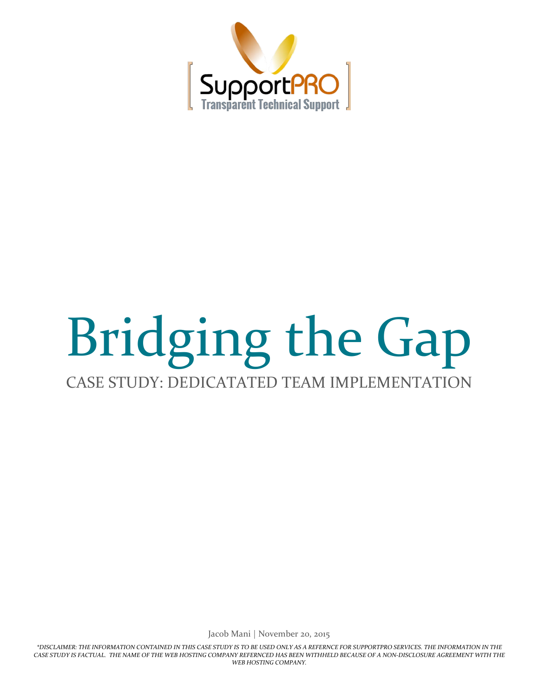

# Bridging the Gap CASE STUDY: DEDICATATED TEAM IMPLEMENTATION

Jacob Mani | November 20, 2015

*\*DISCLAIMER: THE INFORMATION CONTAINED IN THIS CASE STUDY IS TO BE USED ONLY AS A REFERNCE FOR SUPPORTPRO SERVICES. THE INFORMATION IN THE CASE STUDY IS FACTUAL. THE NAME OF THE WEB HOSTING COMPANY REFERNCED HAS BEEN WITHHELD BECAUSE OF A NON-DISCLOSURE AGREEMENT WITH THE WEB HOSTING COMPANY.*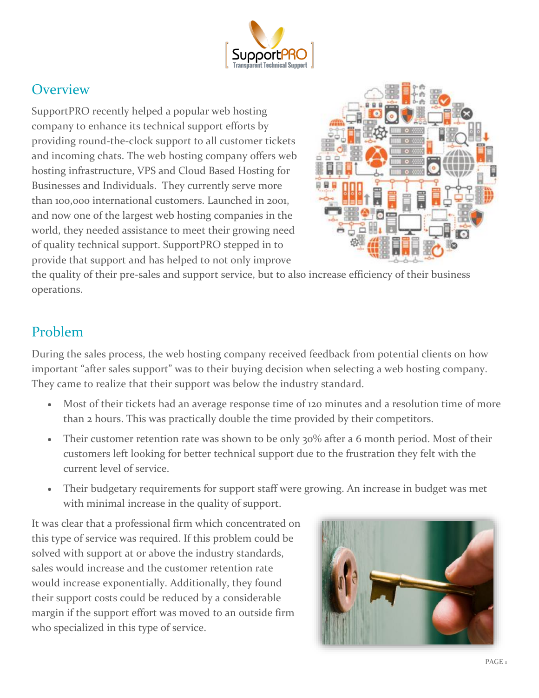

#### **Overview**

SupportPRO recently helped a popular web hosting company to enhance its technical support efforts by providing round-the-clock support to all customer tickets and incoming chats. The web hosting company offers web hosting infrastructure, VPS and Cloud Based Hosting for Businesses and Individuals. They currently serve more than 100,000 international customers. Launched in 2001, and now one of the largest web hosting companies in the world, they needed assistance to meet their growing need of quality technical support. SupportPRO stepped in to provide that support and has helped to not only improve



the quality of their pre-sales and support service, but to also increase efficiency of their business operations.

#### Problem

During the sales process, the web hosting company received feedback from potential clients on how important "after sales support" was to their buying decision when selecting a web hosting company. They came to realize that their support was below the industry standard.

- Most of their tickets had an average response time of 120 minutes and a resolution time of more than 2 hours. This was practically double the time provided by their competitors.
- Their customer retention rate was shown to be only 30% after a 6 month period. Most of their customers left looking for better technical support due to the frustration they felt with the current level of service.
- Their budgetary requirements for support staff were growing. An increase in budget was met with minimal increase in the quality of support.

It was clear that a professional firm which concentrated on this type of service was required. If this problem could be solved with support at or above the industry standards, sales would increase and the customer retention rate would increase exponentially. Additionally, they found their support costs could be reduced by a considerable margin if the support effort was moved to an outside firm who specialized in this type of service.

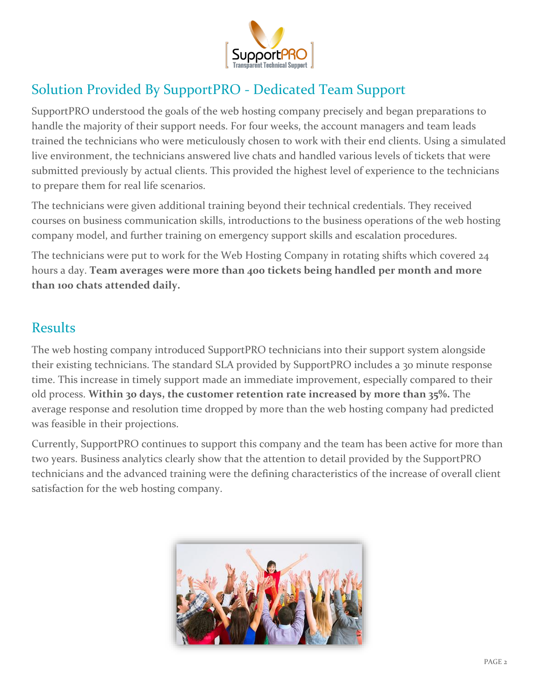

## Solution Provided By SupportPRO - Dedicated Team Support

SupportPRO understood the goals of the web hosting company precisely and began preparations to handle the majority of their support needs. For four weeks, the account managers and team leads trained the technicians who were meticulously chosen to work with their end clients. Using a simulated live environment, the technicians answered live chats and handled various levels of tickets that were submitted previously by actual clients. This provided the highest level of experience to the technicians to prepare them for real life scenarios.

The technicians were given additional training beyond their technical credentials. They received courses on business communication skills, introductions to the business operations of the web hosting company model, and further training on emergency support skills and escalation procedures.

The technicians were put to work for the Web Hosting Company in rotating shifts which covered 24 hours a day. **Team averages were more than 400 tickets being handled per month and more than 100 chats attended daily.** 

#### Results

The web hosting company introduced SupportPRO technicians into their support system alongside their existing technicians. The standard SLA provided by SupportPRO includes a 30 minute response time. This increase in timely support made an immediate improvement, especially compared to their old process. **Within 30 days, the customer retention rate increased by more than 35%.** The average response and resolution time dropped by more than the web hosting company had predicted was feasible in their projections.

Currently, SupportPRO continues to support this company and the team has been active for more than two years. Business analytics clearly show that the attention to detail provided by the SupportPRO technicians and the advanced training were the defining characteristics of the increase of overall client satisfaction for the web hosting company.